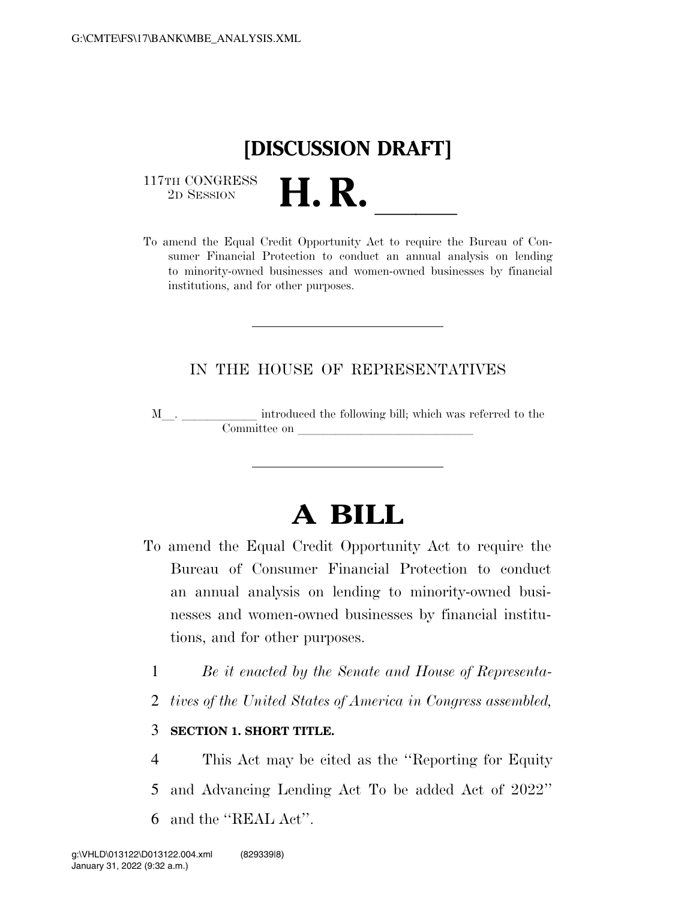

 $\begin{array}{c} \text{117TH CONGRESS} \\ \text{2D SESION} \end{array}$ 

117TH CONGRESS<br>
2D SESSION<br>
To amend the Equal Credit Opportunity Act to require the Bureau of Consumer Financial Protection to conduct an annual analysis on lending to minority-owned businesses and women-owned businesses by financial institutions, and for other purposes.

## IN THE HOUSE OF REPRESENTATIVES

M<sub>\_\_\_</sub>. \_\_\_\_\_\_\_\_\_\_\_\_\_ introduced the following bill; which was referred to the  ${\bf Committee \ on \ \_\_}$ 

## **A BILL**

- To amend the Equal Credit Opportunity Act to require the Bureau of Consumer Financial Protection to conduct an annual analysis on lending to minority-owned businesses and women-owned businesses by financial institutions, and for other purposes.
	- 1 *Be it enacted by the Senate and House of Representa-*
	- 2 *tives of the United States of America in Congress assembled,*

## 3 **SECTION 1. SHORT TITLE.**

4 This Act may be cited as the ''Reporting for Equity 5 and Advancing Lending Act To be added Act of 2022'' 6 and the ''REAL Act''.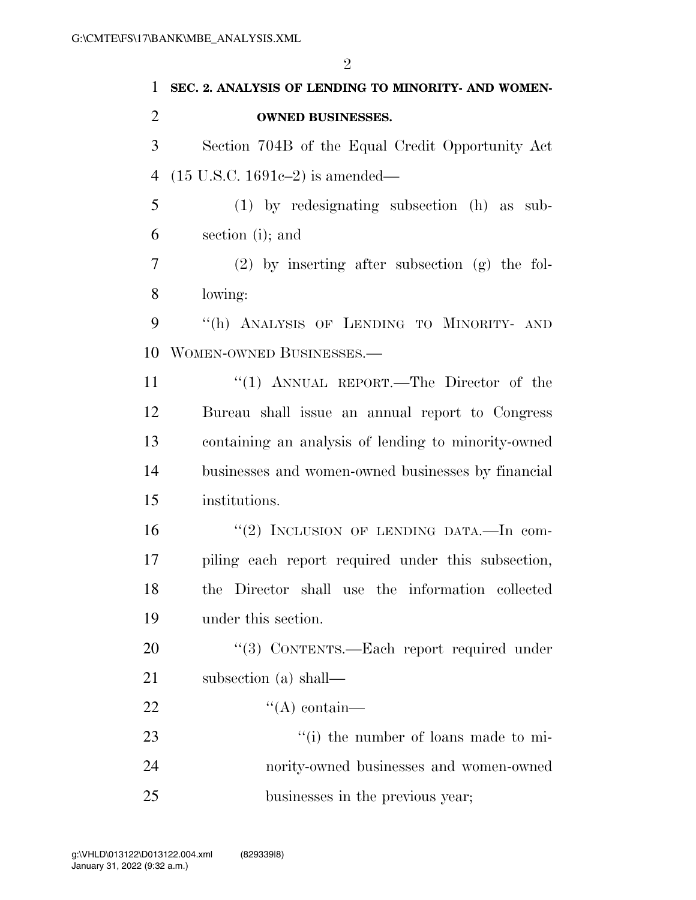| 1              | SEC. 2. ANALYSIS OF LENDING TO MINORITY- AND WOMEN- |
|----------------|-----------------------------------------------------|
| $\overline{2}$ | <b>OWNED BUSINESSES.</b>                            |
| 3              | Section 704B of the Equal Credit Opportunity Act    |
| $\overline{4}$ | $(15 \text{ U.S.C. } 1691c-2)$ is amended—          |
| 5              | $(1)$ by redesignating subsection $(h)$ as sub-     |
| 6              | section (i); and                                    |
| 7              | $(2)$ by inserting after subsection $(g)$ the fol-  |
| 8              | lowing:                                             |
| 9              | "(h) ANALYSIS OF LENDING TO MINORITY- AND           |
| 10             | WOMEN-OWNED BUSINESSES.-                            |
| 11             | "(1) ANNUAL REPORT.—The Director of the             |
| 12             | Bureau shall issue an annual report to Congress     |
| 13             | containing an analysis of lending to minority-owned |
| 14             | businesses and women-owned businesses by financial  |
| 15             | institutions.                                       |
| 16             | "(2) INCLUSION OF LENDING DATA. In com-             |
| 17             | piling each report required under this subsection,  |
| 18             | the Director shall use the information collected    |
| 19             | under this section.                                 |
| 20             | "(3) CONTENTS.—Each report required under           |
| 21             | subsection (a) shall—                               |
| 22             | $\lq\lq$ contain—                                   |
| 23             | "(i) the number of loans made to mi-                |
| 24             | nority-owned businesses and women-owned             |
| 25             | businesses in the previous year;                    |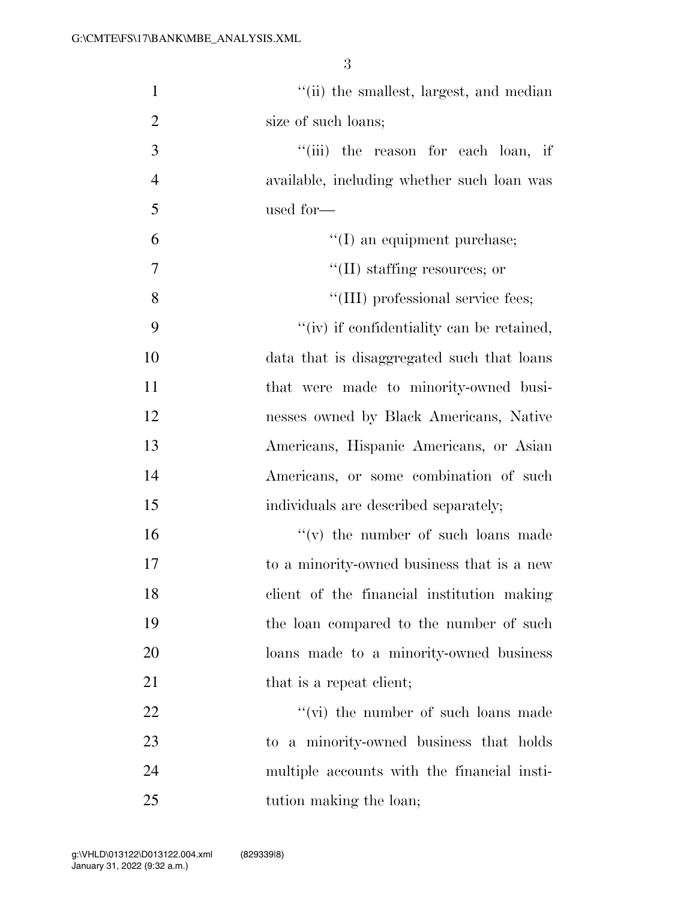| $\mathbf{1}$   | "(ii) the smallest, largest, and median     |
|----------------|---------------------------------------------|
| $\overline{2}$ | size of such loans;                         |
| 3              | "(iii) the reason for each loan, if         |
| $\overline{4}$ | available, including whether such loan was  |
| 5              | used for-                                   |
| 6              | $\lq\lq$ (I) an equipment purchase;         |
| $\tau$         | $\lq\lq$ (II) staffing resources; or        |
| 8              | "(III) professional service fees;           |
| 9              | "(iv) if confidentiality can be retained,   |
| 10             | data that is disaggregated such that loans  |
| 11             | that were made to minority-owned busi-      |
| 12             | nesses owned by Black Americans, Native     |
| 13             | Americans, Hispanic Americans, or Asian     |
| 14             | Americans, or some combination of such      |
| 15             | individuals are described separately;       |
| 16             | $f'(v)$ the number of such loans made       |
| 17             | to a minority-owned business that is a new  |
| 18             | client of the financial institution making  |
| 19             | the loan compared to the number of such     |
| 20             | loans made to a minority-owned business     |
| 21             | that is a repeat client;                    |
| 22             | $\lq\lq$ (vi) the number of such loans made |
| 23             | to a minority-owned business that holds     |
| 24             | multiple accounts with the financial insti- |
| 25             | tution making the loan;                     |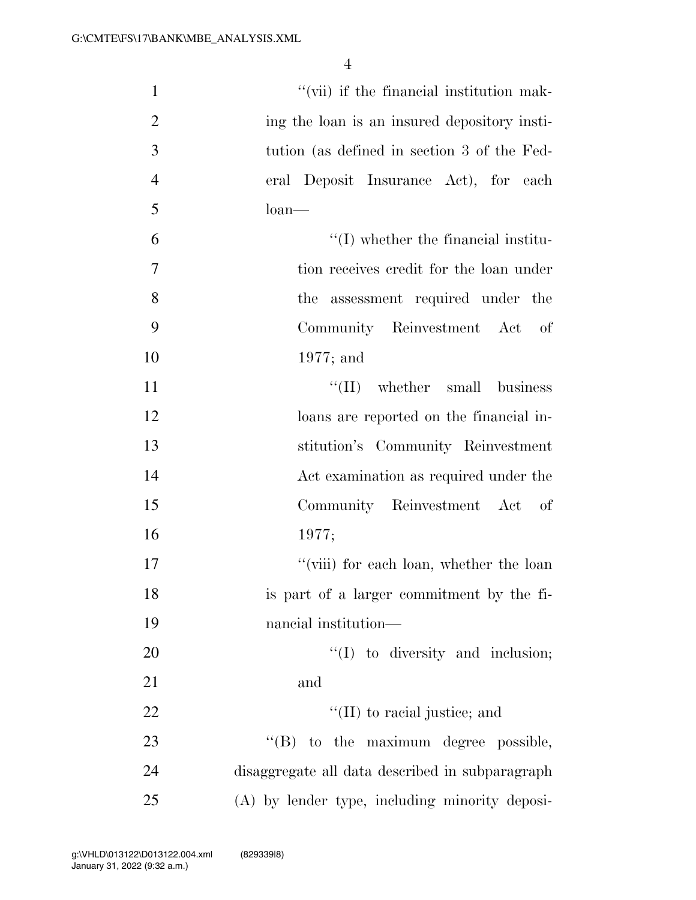| $\mathbf{1}$   | "(vii) if the financial institution mak-        |
|----------------|-------------------------------------------------|
| $\overline{2}$ | ing the loan is an insured depository insti-    |
| 3              | tution (as defined in section 3 of the Fed-     |
| $\overline{4}$ | eral Deposit Insurance Act), for each           |
| 5              | $\lambda$ loan                                  |
| 6              | $\lq\lq$ (I) whether the financial institu-     |
| 7              | tion receives credit for the loan under         |
| 8              | the assessment required under the               |
| 9              | Community Reinvestment Act of                   |
| 10             | $1977$ ; and                                    |
| 11             | $\lq\lq$ (II) whether small business            |
| 12             | loans are reported on the financial in-         |
| 13             | stitution's Community Reinvestment              |
| 14             | Act examination as required under the           |
| 15             | Community Reinvestment Act of                   |
| 16             | 1977;                                           |
| 17             | "(viii) for each loan, whether the loan         |
| 18             | is part of a larger commitment by the fi-       |
| 19             | nancial institution—                            |
| 20             | $\lq(1)$ to diversity and inclusion;            |
| 21             | and                                             |
| 22             | $\lq\lq$ (II) to racial justice; and            |
| 23             | "(B) to the maximum degree possible,            |
| 24             | disaggregate all data described in subparagraph |
| 25             | (A) by lender type, including minority deposi-  |